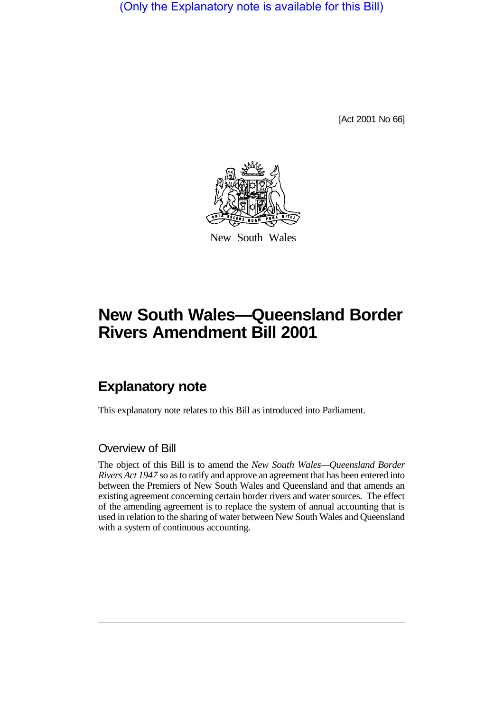(Only the Explanatory note is available for this Bill)

[Act 2001 No 66]



New South Wales

# **New South Wales—Queensland Border Rivers Amendment Bill 2001**

## **Explanatory note**

This explanatory note relates to this Bill as introduced into Parliament.

#### Overview of Bill

The object of this Bill is to amend the *New South Wales—Queensland Border Rivers Act 1947* so as to ratify and approve an agreement that has been entered into between the Premiers of New South Wales and Queensland and that amends an existing agreement concerning certain border rivers and water sources. The effect of the amending agreement is to replace the system of annual accounting that is used in relation to the sharing of water between New South Wales and Queensland with a system of continuous accounting.